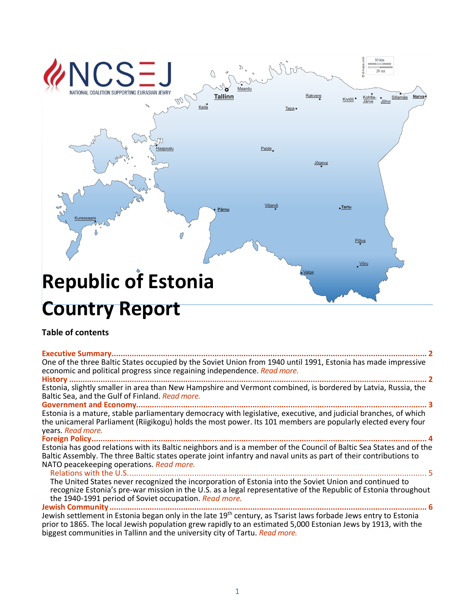

# **Country Report**

# **Table of contents**

#### **[Executive Summary.............................................................................................................................................](#page-1-0) 2**

One of the three Baltic States occupied by the Soviet Union from 1940 until 1991, Estonia has made impressive economic and political progress since regaining independence. *[Read more.](#page-1-0)*

**History [................................................................................................................................................................](#page-1-1) 2** Estonia, slightly smaller in area than New Hampshire and Vermont combined, is bordered by Latvia, Russia, the Baltic Sea, and the Gulf of Finland. *[Read more.](#page-1-1)*

**[Government and Economy..................................................................................................................................](#page-2-0) 3** Estonia is a mature, stable parliamentary democracy with legislative, executive, and judicial branches, of which the unicameral Parliament (Riigikogu) holds the most power. Its 101 members are popularly elected every four years. *[Read more.](#page-2-0)*

**[Foreign Policy......................................................................................................................................................](#page-3-0) 4** Estonia has good relations with its Baltic neighbors and is a member of the Council of Baltic Sea States and of the Baltic Assembly. The three Baltic states operate joint infantry and naval units as part of their contributions to NATO peacekeeping operations. *[Read more.](#page-3-0)*

[Relations with the U.S......................................................................................................................................](#page-4-0) 5 The United States never recognized the incorporation of Estonia into the Soviet Union and continued to recognize Estonia's pre-war mission in the U.S. as a legal representative of the Republic of Estonia throughout the 1940-1991 period of Soviet occupation. *[Read more.](#page-4-0)*

**[Jewish Community..............................................................................................................................................](#page-5-0) 6** Jewish settlement in Estonia began only in the late 19<sup>th</sup> century, as Tsarist laws forbade Jews entry to Estonia prior to 1865. The local Jewish population grew rapidly to an estimated 5,000 Estonian Jews by 1913, with the biggest communities in Tallinn and the university city of Tartu. *[Read more.](#page-5-0)*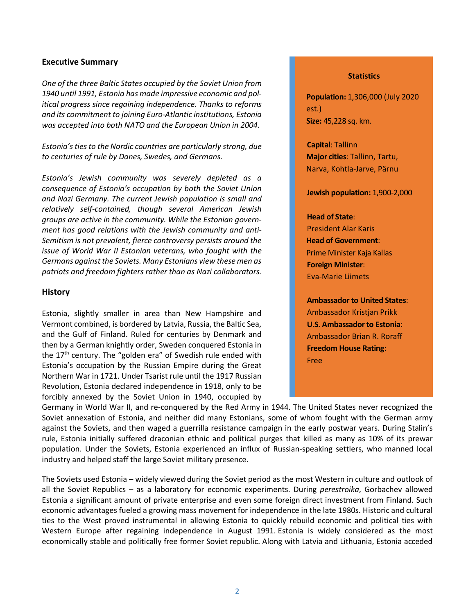#### <span id="page-1-0"></span>**Executive Summary**

*One of the three Baltic States occupied by the Soviet Union from 1940 until 1991, Estonia has made impressive economic and political progress since regaining independence. Thanks to reforms and its commitment to joining Euro-Atlantic institutions, Estonia was accepted into both NATO and the European Union in 2004.*

*Estonia's ties to the Nordic countries are particularly strong, due to centuries of rule by Danes, Swedes, and Germans.* 

*Estonia's Jewish community was severely depleted as a consequence of Estonia's occupation by both the Soviet Union and Nazi Germany. The current Jewish population is small and relatively self-contained, though several American Jewish groups are active in the community. While the Estonian government has good relations with the Jewish community and anti-Semitism is not prevalent, fierce controversy persists around the issue of World War II Estonian veterans, who fought with the Germans against the Soviets. Many Estonians view these men as patriots and freedom fighters rather than as Nazi collaborators.*

#### <span id="page-1-1"></span>**History**

Estonia, slightly smaller in area than New Hampshire and Vermont combined, is bordered by Latvia, Russia, the Baltic Sea, and the Gulf of Finland. Ruled for centuries by Denmark and then by a German knightly order, Sweden conquered Estonia in the  $17<sup>th</sup>$  century. The "golden era" of Swedish rule ended with Estonia's occupation by the Russian Empire during the Great Northern War in 1721. Under Tsarist rule until the 1917 Russian Revolution, Estonia declared independence in 1918, only to be forcibly annexed by the Soviet Union in 1940, occupied by

#### **Statistics**

**Population:** 1,306,000 (July 2020 est.) **Size:** 45,228 sq. km.

**Capital**: Tallinn **Major cities**: Tallinn, Tartu, Narva, Kohtla-Jarve, Pärnu

**Jewish population:** 1,900-2,000

#### **Head of State**:

President Alar Karis **Head of Government**: Prime Minister Kaja Kallas **Foreign Minister**: Eva-Marie Liimets

**Ambassador to United States**: Ambassador Kristjan Prikk **U.S. Ambassador to Estonia**: Ambassador Brian R. Roraff **Freedom House Rating**: Free

Germany in World War II, and re-conquered by the Red Army in 1944. The United States never recognized the Soviet annexation of Estonia, and neither did many Estonians, some of whom fought with the German army against the Soviets, and then waged a guerrilla resistance campaign in the early postwar years. During Stalin's rule, Estonia initially suffered draconian ethnic and political purges that killed as many as 10% of its prewar population. Under the Soviets, Estonia experienced an influx of Russian-speaking settlers, who manned local industry and helped staff the large Soviet military presence.

The Soviets used Estonia – widely viewed during the Soviet period as the most Western in culture and outlook of all the Soviet Republics – as a laboratory for economic experiments. During *perestroika*, Gorbachev allowed Estonia a significant amount of private enterprise and even some foreign direct investment from Finland. Such economic advantages fueled a growing mass movement for independence in the late 1980s. Historic and cultural ties to the West proved instrumental in allowing Estonia to quickly rebuild economic and political ties with Western Europe after regaining independence in August 1991. Estonia is widely considered as the most economically stable and politically free former Soviet republic. Along with Latvia and Lithuania, Estonia acceded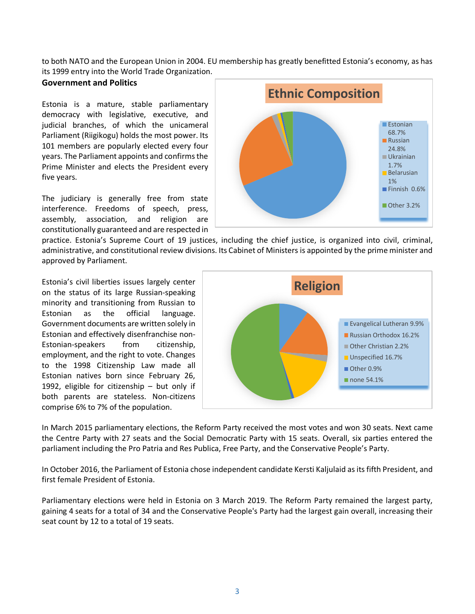to both NATO and the European Union in 2004. EU membership has greatly benefitted Estonia's economy, as has its 1999 entry into the World Trade Organization.

## <span id="page-2-0"></span>**Government and Politics**

Estonia is a mature, stable parliamentary democracy with legislative, executive, and judicial branches, of which the unicameral Parliament (Riigikogu) holds the most power. Its 101 members are popularly elected every four years. The Parliament appoints and confirms the Prime Minister and elects the President every five years.

The judiciary is generally free from state interference. Freedoms of speech, press, assembly, association, and religion are constitutionally guaranteed and are respected in



practice. Estonia's Supreme Court of 19 justices, including the chief justice, is organized into civil, criminal, administrative, and constitutional review divisions. Its Cabinet of Ministers is appointed by the prime minister and approved by Parliament.

Estonia's civil liberties issues largely center on the status of its large Russian-speaking minority and transitioning from Russian to Estonian as the official language. Government documents are written solely in Estonian and effectively disenfranchise non-Estonian-speakers from citizenship, employment, and the right to vote. Changes to the 1998 Citizenship Law made all Estonian natives born since February 26, 1992, eligible for citizenship – but only if both parents are stateless. Non-citizens comprise 6% to 7% of the population.



In March 2015 parliamentary elections, the Reform Party received the most votes and won 30 seats. Next came the Centre Party with 27 seats and the Social Democratic Party with 15 seats. Overall, six parties entered the parliament including the Pro Patria and Res Publica, Free Party, and the Conservative People's Party.

In October 2016, the Parliament of Estonia chose independent candidate Kersti Kaljulaid as its fifth President, and first female President of Estonia.

Parliamentary elections were held in Estonia on 3 March 2019. The Reform Party remained the largest party, gaining 4 seats for a total of 34 and the Conservative People's Party had the largest gain overall, increasing their seat count by 12 to a total of 19 seats.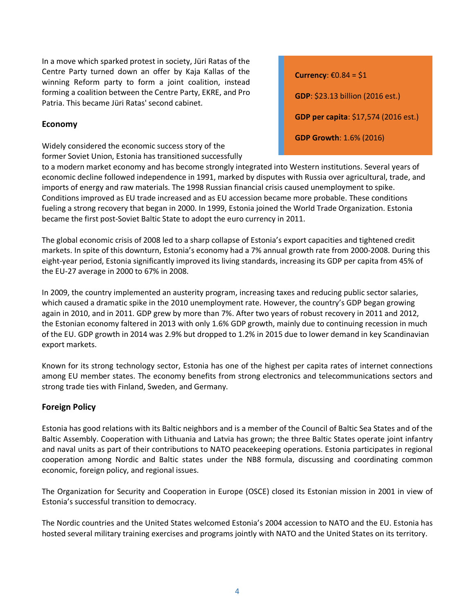In a move which sparked protest in society, Jüri Ratas of the Centre Party turned down an offer by Kaja Kallas of the winning Reform party to form a joint coalition, instead forming a coalition between the Centre Party, EKRE, and Pro Patria. This became Jüri Ratas' second cabinet.

## **Economy**

Widely considered the economic success story of the former Soviet Union, Estonia has transitioned successfully **Currency:**  $\epsilon$ 0.84 = \$1 **GDP**: \$23.13 billion (2016 est.) **GDP per capita**: \$17,574 (2016 est.) **GDP Growth**: 1.6% (2016)

to a modern market economy and has become strongly integrated into Western institutions. Several years of economic decline followed independence in 1991, marked by disputes with Russia over agricultural, trade, and imports of energy and raw materials. The 1998 Russian financial crisis caused unemployment to spike. Conditions improved as EU trade increased and as EU accession became more probable. These conditions fueling a strong recovery that began in 2000. In 1999, Estonia joined the World Trade Organization. Estonia became the first post-Soviet Baltic State to adopt the euro currency in 2011.

The global economic crisis of 2008 led to a sharp collapse of Estonia's export capacities and tightened credit markets. In spite of this downturn, Estonia's economy had a 7% annual growth rate from 2000-2008. During this eight-year period, Estonia significantly improved its living standards, increasing its GDP per capita from 45% of the EU-27 average in 2000 to 67% in 2008.

In 2009, the country implemented an austerity program, increasing taxes and reducing public sector salaries, which caused a dramatic spike in the 2010 unemployment rate. However, the country's GDP began growing again in 2010, and in 2011. GDP grew by more than 7%. After two years of robust recovery in 2011 and 2012, the Estonian economy faltered in 2013 with only 1.6% GDP growth, mainly due to continuing recession in much of the EU. GDP growth in 2014 was 2.9% but dropped to 1.2% in 2015 due to lower demand in key Scandinavian export markets.

Known for its strong technology sector, Estonia has one of the highest per capita rates of internet connections among EU member states. The economy benefits from strong electronics and telecommunications sectors and strong trade ties with Finland, Sweden, and Germany.

# <span id="page-3-0"></span>**Foreign Policy**

Estonia has good relations with its Baltic neighbors and is a member of the Council of Baltic Sea States and of the Baltic Assembly. Cooperation with Lithuania and Latvia has grown; the three Baltic States operate joint infantry and naval units as part of their contributions to NATO peacekeeping operations. Estonia participates in regional cooperation among Nordic and Baltic states under the NB8 formula, discussing and coordinating common economic, foreign policy, and regional issues.

The Organization for Security and Cooperation in Europe (OSCE) closed its Estonian mission in 2001 in view of Estonia's successful transition to democracy.

The Nordic countries and the United States welcomed Estonia's 2004 accession to NATO and the EU. Estonia has hosted several military training exercises and programs jointly with NATO and the United States on its territory.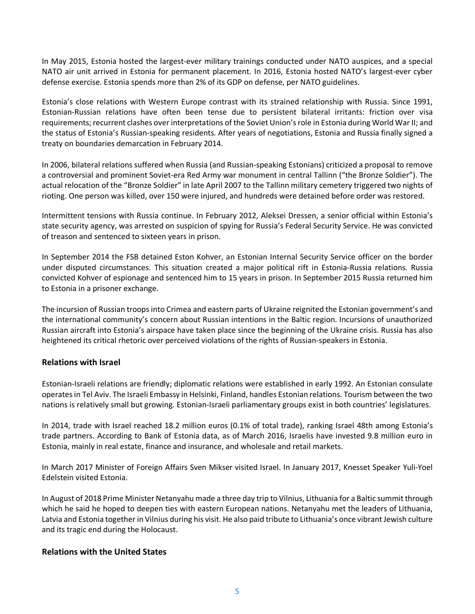In May 2015, Estonia hosted the largest-ever military trainings conducted under NATO auspices, and a special NATO air unit arrived in Estonia for permanent placement. In 2016, Estonia hosted NATO's largest-ever cyber defense exercise. Estonia spends more than 2% of its GDP on defense, per NATO guidelines.

Estonia's close relations with Western Europe contrast with its strained relationship with Russia. Since 1991, Estonian-Russian relations have often been tense due to persistent bilateral irritants: friction over visa requirements; recurrent clashes over interpretations of the Soviet Union's role in Estonia during World War II; and the status of Estonia's Russian-speaking residents. After years of negotiations, Estonia and Russia finally signed a treaty on boundaries demarcation in February 2014.

In 2006, bilateral relations suffered when Russia (and Russian-speaking Estonians) criticized a proposal to remove a controversial and prominent Soviet-era Red Army war monument in central Tallinn ("the Bronze Soldier"). The actual relocation of the "Bronze Soldier" in late April 2007 to the Tallinn military cemetery triggered two nights of rioting. One person was killed, over 150 were injured, and hundreds were detained before order was restored.

Intermittent tensions with Russia continue. In February 2012, Aleksei Dressen, a senior official within Estonia's state security agency, was arrested on suspicion of spying for Russia's Federal Security Service. He was convicted of treason and sentenced to sixteen years in prison.

In September 2014 the FSB detained Eston Kohver, an Estonian Internal Security Service officer on the border under disputed circumstances. This situation created a major political rift in Estonia-Russia relations. Russia convicted Kohver of espionage and sentenced him to 15 years in prison. In September 2015 Russia returned him to Estonia in a prisoner exchange.

The incursion of Russian troops into Crimea and eastern parts of Ukraine reignited the Estonian government's and the international community's concern about Russian intentions in the Baltic region. Incursions of unauthorized Russian aircraft into Estonia's airspace have taken place since the beginning of the Ukraine crisis. Russia has also heightened its critical rhetoric over perceived violations of the rights of Russian-speakers in Estonia.

# **Relations with Israel**

Estonian-Israeli relations are friendly; diplomatic relations were established in early 1992. An Estonian consulate operates in Tel Aviv. The Israeli Embassy in Helsinki, Finland, handles Estonian relations. Tourism between the two nations is relatively small but growing. Estonian-Israeli parliamentary groups exist in both countries' legislatures.

In 2014, trade with Israel reached 18.2 million euros (0.1% of total trade), ranking Israel 48th among Estonia's trade partners. According to Bank of Estonia data, as of March 2016, Israelis have invested 9.8 million euro in Estonia, mainly in real estate, finance and insurance, and wholesale and retail markets.

In March 2017 Minister of Foreign Affairs Sven Mikser visited Israel. In January 2017, Knesset Speaker Yuli-Yoel Edelstein visited Estonia.

In August of 2018 Prime Minister Netanyahu made a three day trip to Vilnius, Lithuania for a Baltic summit through which he said he hoped to deepen ties with eastern European nations. Netanyahu met the leaders of Lithuania, Latvia and Estonia together in Vilnius during his visit. He also paid tribute to Lithuania's once vibrant Jewish culture and its tragic end during the Holocaust.

## <span id="page-4-0"></span>**Relations with the United States**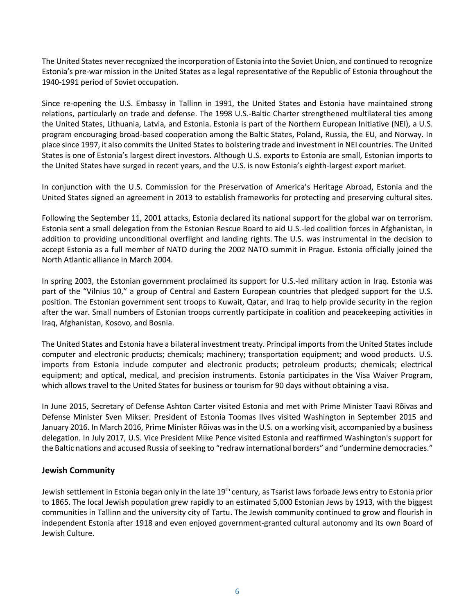The United States never recognized the incorporation of Estonia into the Soviet Union, and continued to recognize Estonia's pre-war mission in the United States as a legal representative of the Republic of Estonia throughout the 1940-1991 period of Soviet occupation.

Since re-opening the U.S. Embassy in Tallinn in 1991, the United States and Estonia have maintained strong relations, particularly on trade and defense. The 1998 U.S.-Baltic Charter strengthened multilateral ties among the United States, Lithuania, Latvia, and Estonia. Estonia is part of the Northern European Initiative (NEI), a U.S. program encouraging broad-based cooperation among the Baltic States, Poland, Russia, the EU, and Norway. In place since 1997, it also commits the United States to bolstering trade and investment in NEI countries. The United States is one of Estonia's largest direct investors. Although U.S. exports to Estonia are small, Estonian imports to the United States have surged in recent years, and the U.S. is now Estonia's eighth-largest export market.

In conjunction with the U.S. Commission for the Preservation of America's Heritage Abroad, Estonia and the United States signed an agreement in 2013 to establish frameworks for protecting and preserving cultural sites.

Following the September 11, 2001 attacks, Estonia declared its national support for the global war on terrorism. Estonia sent a small delegation from the Estonian Rescue Board to aid U.S.-led coalition forces in Afghanistan, in addition to providing unconditional overflight and landing rights. The U.S. was instrumental in the decision to accept Estonia as a full member of NATO during the 2002 NATO summit in Prague. Estonia officially joined the North Atlantic alliance in March 2004.

In spring 2003, the Estonian government proclaimed its support for U.S.-led military action in Iraq. Estonia was part of the "Vilnius 10," a group of Central and Eastern European countries that pledged support for the U.S. position. The Estonian government sent troops to Kuwait, Qatar, and Iraq to help provide security in the region after the war. Small numbers of Estonian troops currently participate in coalition and peacekeeping activities in Iraq, Afghanistan, Kosovo, and Bosnia.

<span id="page-5-0"></span>The United States and Estonia have a bilateral investment treaty. Principal imports from the United States include computer and electronic products; chemicals; machinery; transportation equipment; and wood products. U.S. imports from Estonia include computer and electronic products; petroleum products; chemicals; electrical equipment; and optical, medical, and precision instruments. Estonia participates in the Visa Waiver Program, which allows travel to the United States for business or tourism for 90 days without obtaining a visa.

In June 2015, Secretary of Defense Ashton Carter visited Estonia and met with Prime Minister Taavi Rõivas and Defense Minister Sven Mikser. President of Estonia Toomas Ilves visited Washington in September 2015 and January 2016. In March 2016, Prime Minister Rõivas was in the U.S. on a working visit, accompanied by a business delegation. In July 2017, U.S. Vice President Mike Pence visited Estonia and reaffirmed Washington's support for the Baltic nations and accused Russia of seeking to "redraw international borders" and "undermine democracies."

## **Jewish Community**

Jewish settlement in Estonia began only in the late 19<sup>th</sup> century, as Tsarist laws forbade Jews entry to Estonia prior to 1865. The local Jewish population grew rapidly to an estimated 5,000 Estonian Jews by 1913, with the biggest communities in Tallinn and the university city of Tartu. The Jewish community continued to grow and flourish in independent Estonia after 1918 and even enjoyed government-granted cultural autonomy and its own Board of Jewish Culture.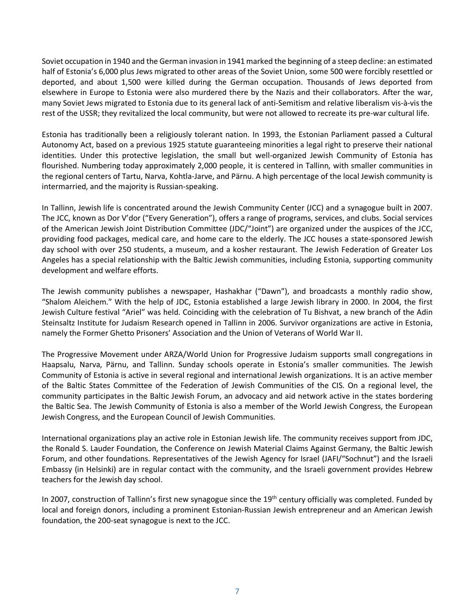Soviet occupation in 1940 and the German invasion in 1941 marked the beginning of a steep decline: an estimated half of Estonia's 6,000 plus Jews migrated to other areas of the Soviet Union, some 500 were forcibly resettled or deported, and about 1,500 were killed during the German occupation. Thousands of Jews deported from elsewhere in Europe to Estonia were also murdered there by the Nazis and their collaborators. After the war, many Soviet Jews migrated to Estonia due to its general lack of anti-Semitism and relative liberalism vis-à-visthe rest of the USSR; they revitalized the local community, but were not allowed to recreate its pre-war cultural life.

Estonia has traditionally been a religiously tolerant nation. In 1993, the Estonian Parliament passed a Cultural Autonomy Act, based on a previous 1925 statute guaranteeing minorities a legal right to preserve their national identities. Under this protective legislation, the small but well-organized Jewish Community of Estonia has flourished. Numbering today approximately 2,000 people, it is centered in Tallinn, with smaller communities in the regional centers of Tartu, Narva, Kohtla-Jarve, and Pärnu. A high percentage of the local Jewish community is intermarried, and the majority is Russian-speaking.

In Tallinn, Jewish life is concentrated around the Jewish Community Center (JCC) and a synagogue built in 2007. The JCC, known as Dor V'dor ("Every Generation"), offers a range of programs, services, and clubs. Social services of the American Jewish Joint Distribution Committee (JDC/"Joint") are organized under the auspices of the JCC, providing food packages, medical care, and home care to the elderly. The JCC houses a state-sponsored Jewish day school with over 250 students, a museum, and a kosher restaurant. The Jewish Federation of Greater Los Angeles has a special relationship with the Baltic Jewish communities, including Estonia, supporting community development and welfare efforts.

The Jewish community publishes a newspaper, Hashakhar ("Dawn"), and broadcasts a monthly radio show, "Shalom Aleichem." With the help of JDC, Estonia established a large Jewish library in 2000. In 2004, the first Jewish Culture festival "Ariel" was held. Coinciding with the celebration of Tu Bishvat, a new branch of the Adin Steinsaltz Institute for Judaism Research opened in Tallinn in 2006. Survivor organizations are active in Estonia, namely the Former Ghetto Prisoners' Association and the Union of Veterans of World War II.

The Progressive Movement under ARZA/World Union for Progressive Judaism supports small congregations in Haapsalu, Narva, Pärnu, and Tallinn. Sunday schools operate in Estonia's smaller communities. The Jewish Community of Estonia is active in several regional and international Jewish organizations. It is an active member of the Baltic States Committee of the Federation of Jewish Communities of the CIS. On a regional level, the community participates in the Baltic Jewish Forum, an advocacy and aid network active in the states bordering the Baltic Sea. The Jewish Community of Estonia is also a member of the World Jewish Congress, the European Jewish Congress, and the European Council of Jewish Communities.

International organizations play an active role in Estonian Jewish life. The community receives support from JDC, the Ronald S. Lauder Foundation, the Conference on Jewish Material Claims Against Germany, the Baltic Jewish Forum, and other foundations. Representatives of the Jewish Agency for Israel (JAFI/"Sochnut") and the Israeli Embassy (in Helsinki) are in regular contact with the community, and the Israeli government provides Hebrew teachers for the Jewish day school.

In 2007, construction of Tallinn's first new synagogue since the  $19<sup>th</sup>$  century officially was completed. Funded by local and foreign donors, including a prominent Estonian-Russian Jewish entrepreneur and an American Jewish foundation, the 200-seat synagogue is next to the JCC.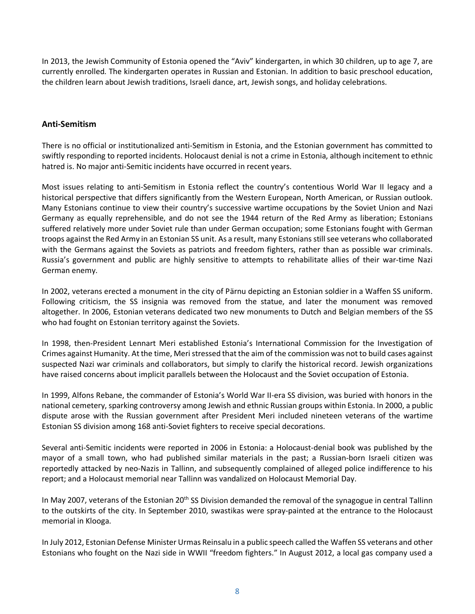In 2013, the Jewish Community of Estonia opened the "Aviv" kindergarten, in which 30 children, up to age 7, are currently enrolled. The kindergarten operates in Russian and Estonian. In addition to basic preschool education, the children learn about Jewish traditions, Israeli dance, art, Jewish songs, and holiday celebrations.

## **Anti-Semitism**

There is no official or institutionalized anti-Semitism in Estonia, and the Estonian government has committed to swiftly responding to reported incidents. Holocaust denial is not a crime in Estonia, although incitement to ethnic hatred is. No major anti-Semitic incidents have occurred in recent years.

Most issues relating to anti-Semitism in Estonia reflect the country's contentious World War II legacy and a historical perspective that differs significantly from the Western European, North American, or Russian outlook. Many Estonians continue to view their country's successive wartime occupations by the Soviet Union and Nazi Germany as equally reprehensible, and do not see the 1944 return of the Red Army as liberation; Estonians suffered relatively more under Soviet rule than under German occupation; some Estonians fought with German troops against the Red Army in an Estonian SS unit. As a result, many Estonians still see veterans who collaborated with the Germans against the Soviets as patriots and freedom fighters, rather than as possible war criminals. Russia's government and public are highly sensitive to attempts to rehabilitate allies of their war-time Nazi German enemy.

In 2002, veterans erected a monument in the city of Pärnu depicting an Estonian soldier in a Waffen SS uniform. Following criticism, the SS insignia was removed from the statue, and later the monument was removed altogether. In 2006, Estonian veterans dedicated two new monuments to Dutch and Belgian members of the SS who had fought on Estonian territory against the Soviets.

In 1998, then-President Lennart Meri established Estonia's International Commission for the Investigation of Crimes against Humanity. At the time, Meri stressed that the aim of the commission was not to build cases against suspected Nazi war criminals and collaborators, but simply to clarify the historical record. Jewish organizations have raised concerns about implicit parallels between the Holocaust and the Soviet occupation of Estonia.

In 1999, Alfons Rebane, the commander of Estonia's World War II-era SS division, was buried with honors in the national cemetery, sparking controversy among Jewish and ethnic Russian groups within Estonia. In 2000, a public dispute arose with the Russian government after President Meri included nineteen veterans of the wartime Estonian SS division among 168 anti-Soviet fighters to receive special decorations.

Several anti-Semitic incidents were reported in 2006 in Estonia: a Holocaust-denial book was published by the mayor of a small town, who had published similar materials in the past; a Russian-born Israeli citizen was reportedly attacked by neo-Nazis in Tallinn, and subsequently complained of alleged police indifference to his report; and a Holocaust memorial near Tallinn was vandalized on Holocaust Memorial Day.

In May 2007, veterans of the Estonian 20<sup>th</sup> SS Division demanded the removal of the synagogue in central Tallinn to the outskirts of the city. In September 2010, swastikas were spray-painted at the entrance to the Holocaust memorial in Klooga.

In July 2012, Estonian Defense Minister Urmas Reinsalu in a public speech called the Waffen SS veterans and other Estonians who fought on the Nazi side in WWII "freedom fighters." In August 2012, a local gas company used a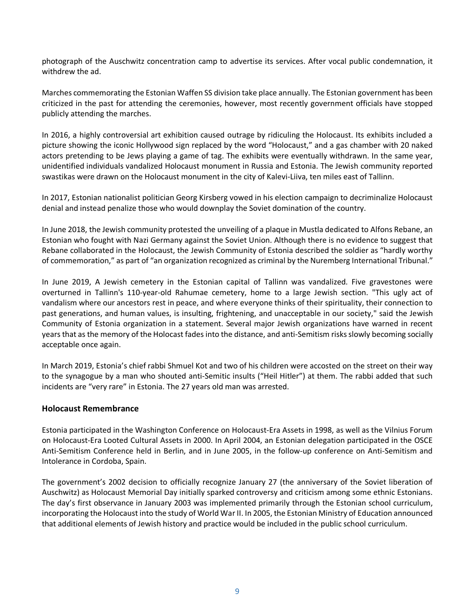photograph of the Auschwitz concentration camp to advertise its services. After vocal public condemnation, it withdrew the ad.

Marches commemorating the Estonian Waffen SS division take place annually. The Estonian government has been criticized in the past for attending the ceremonies, however, most recently government officials have stopped publicly attending the marches.

In 2016, a highly controversial art exhibition caused outrage by ridiculing the Holocaust. Its exhibits included a picture showing the iconic Hollywood sign replaced by the word "Holocaust," and a gas chamber with 20 naked actors pretending to be Jews playing a game of tag. The exhibits were eventually withdrawn. In the same year, unidentified individuals vandalized Holocaust monument in Russia and Estonia. The Jewish community reported swastikas were drawn on the Holocaust monument in the city of Kalevi-Liiva, ten miles east of Tallinn.

In 2017, Estonian nationalist politician Georg Kirsberg vowed in his election campaign to decriminalize Holocaust denial and instead penalize those who would downplay the Soviet domination of the country.

In June 2018, the Jewish community protested the unveiling of a plaque in Mustla dedicated to Alfons Rebane, an Estonian who fought with Nazi Germany against the Soviet Union. Although there is no evidence to suggest that Rebane collaborated in the Holocaust, the Jewish Community of Estonia described the soldier as "hardly worthy of commemoration," as part of "an organization recognized as criminal by the Nuremberg International Tribunal."

In June 2019, A Jewish cemetery in the Estonian capital of Tallinn was vandalized. Five gravestones were overturned in Tallinn's 110-year-old Rahumae cemetery, home to a large Jewish section. "This ugly act of vandalism where our ancestors rest in peace, and where everyone thinks of their spirituality, their connection to past generations, and human values, is insulting, frightening, and unacceptable in our society," said the Jewish Community of Estonia organization in a statement. Several major Jewish organizations have warned in recent years that as the memory of the Holocast fades into the distance, and anti-Semitism risks slowly becoming socially acceptable once again.

In March 2019, Estonia's chief rabbi Shmuel Kot and two of his children were accosted on the street on their way to the synagogue by a man who shouted anti-Semitic insults ("Heil Hitler") at them. The rabbi added that such incidents are "very rare" in Estonia. The 27 years old man was arrested.

# **Holocaust Remembrance**

Estonia participated in the Washington Conference on Holocaust-Era Assets in 1998, as well as the Vilnius Forum on Holocaust-Era Looted Cultural Assets in 2000. In April 2004, an Estonian delegation participated in the OSCE Anti-Semitism Conference held in Berlin, and in June 2005, in the follow-up conference on Anti-Semitism and Intolerance in Cordoba, Spain.

The government's 2002 decision to officially recognize January 27 (the anniversary of the Soviet liberation of Auschwitz) as Holocaust Memorial Day initially sparked controversy and criticism among some ethnic Estonians. The day's first observance in January 2003 was implemented primarily through the Estonian school curriculum, incorporating the Holocaust into the study of World War II. In 2005, the Estonian Ministry of Education announced that additional elements of Jewish history and practice would be included in the public school curriculum.